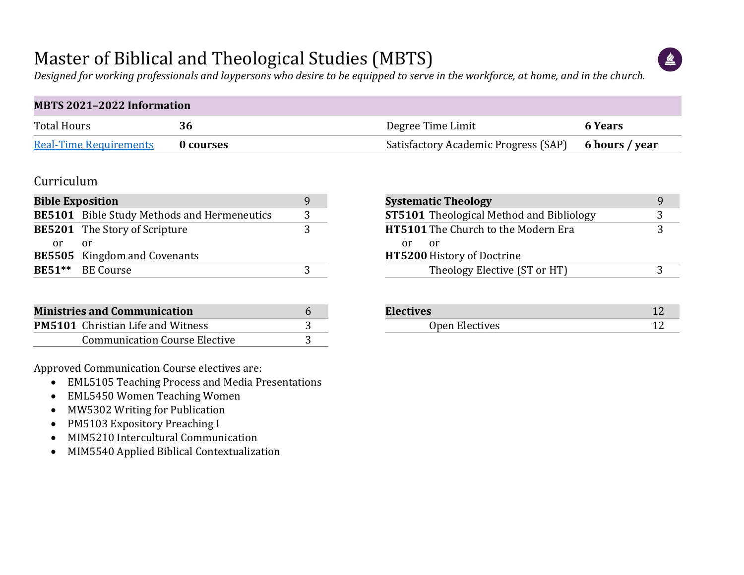### Master of Biblical and Theological Studies (MBTS)



*Designed for working professionals and laypersons who desire to be equipped to serve in the workforce, at home, and in the church.*

| <b>MBTS 2021-2022 Information</b> |           |                                                     |                |  |  |  |  |  |  |  |
|-----------------------------------|-----------|-----------------------------------------------------|----------------|--|--|--|--|--|--|--|
| <b>Total Hours</b>                | 36        | Degree Time Limit                                   | <b>6 Years</b> |  |  |  |  |  |  |  |
| <b>Real-Time Requirements</b>     | 0 courses | Satisfactory Academic Progress (SAP) 6 hours / year |                |  |  |  |  |  |  |  |

#### Curriculum

| <b>Bible Exposition</b>              |                                                    |  |  |  |  |  |  |  |  |
|--------------------------------------|----------------------------------------------------|--|--|--|--|--|--|--|--|
|                                      | <b>BE5101</b> Bible Study Methods and Hermeneutics |  |  |  |  |  |  |  |  |
| <b>BE5201</b> The Story of Scripture |                                                    |  |  |  |  |  |  |  |  |
| or.                                  | or o                                               |  |  |  |  |  |  |  |  |
|                                      | <b>BE5505</b> Kingdom and Covenants                |  |  |  |  |  |  |  |  |
|                                      | BE51** BE Course                                   |  |  |  |  |  |  |  |  |

| <b>Ministries and Communication</b>      |  |
|------------------------------------------|--|
| <b>PM5101</b> Christian Life and Witness |  |
| <b>Communication Course Elective</b>     |  |

Approved Communication Course electives are:

- EML5105 Teaching Process and Media Presentations
- EML5450 Women Teaching Women
- MW5302 Writing for Publication
- PM5103 Expository Preaching I
- MIM5210 Intercultural Communication
- MIM5540 Applied Biblical Contextualization

|     | <b>Systematic Theology</b>                      |   |
|-----|-------------------------------------------------|---|
|     | <b>ST5101</b> Theological Method and Bibliology | 3 |
|     | <b>HT5101</b> The Church to the Modern Era      | 3 |
| nr. | or                                              |   |
|     | <b>HT5200 History of Doctrine</b>               |   |
|     | Theology Elective (ST or HT)                    | ς |

| <b>Electives</b> |  |
|------------------|--|
| Open Electives   |  |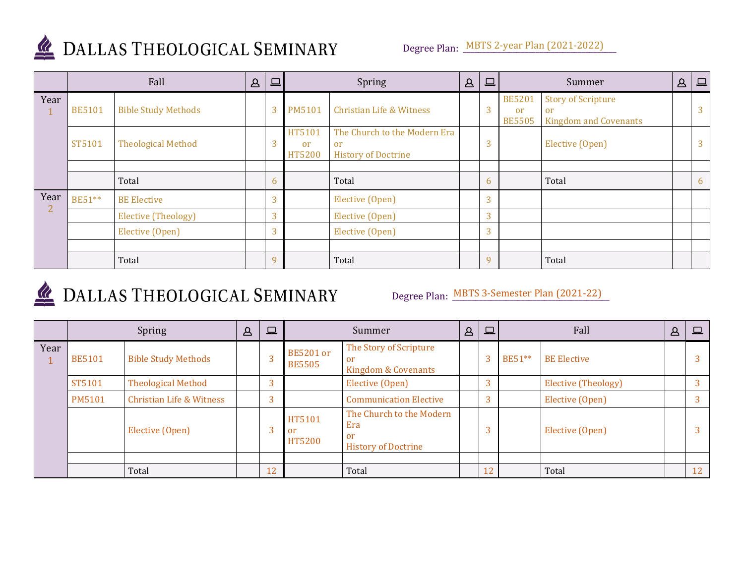

## DALLAS THEOLOGICAL SEMINARY

|      | Fall          |                            |  | $\Box$       | Spring                                   |                                                                  | $\Delta$ | $\boxed{\Box}$ | Summer                               |                                                                 | $\Delta$ | $\Box$         |
|------|---------------|----------------------------|--|--------------|------------------------------------------|------------------------------------------------------------------|----------|----------------|--------------------------------------|-----------------------------------------------------------------|----------|----------------|
| Year | <b>BE5101</b> | <b>Bible Study Methods</b> |  | 3            | <b>PM5101</b>                            | Christian Life & Witness                                         |          | 3              | <b>BE5201</b><br>or<br><b>BE5505</b> | <b>Story of Scripture</b><br>or<br><b>Kingdom and Covenants</b> |          | $\overline{3}$ |
|      | ST5101        | <b>Theological Method</b>  |  | 3            | HT5101<br><sub>or</sub><br><b>HT5200</b> | The Church to the Modern Era<br>or<br><b>History of Doctrine</b> |          | 3              |                                      | Elective (Open)                                                 |          | $\overline{3}$ |
|      |               | Total                      |  | 6            |                                          | Total                                                            |          | 6              |                                      | Total                                                           |          | 6              |
| Year | BE51**        | <b>BE Elective</b>         |  | 3            |                                          | Elective (Open)                                                  |          | 3              |                                      |                                                                 |          |                |
| 2    |               | Elective (Theology)        |  | 3            |                                          | Elective (Open)                                                  |          | $\overline{3}$ |                                      |                                                                 |          |                |
|      |               | Elective (Open)            |  | 3            |                                          | Elective (Open)                                                  |          | $\overline{3}$ |                                      |                                                                 |          |                |
|      |               |                            |  |              |                                          |                                                                  |          |                |                                      |                                                                 |          |                |
|      |               | Total                      |  | $\mathbf{q}$ |                                          | Total                                                            |          | 9              |                                      | Total                                                           |          |                |

# DALLAS THEOLOGICAL SEMINARY

Degree Plan: MBTS 3-Semester Plan (2021-22)

|      | Spring        |                                     |  | $\square$ | Summer                                   |                                                                     | $\Delta$ | $\Box$         | Fall   |                     | Δ | $\Box$ |
|------|---------------|-------------------------------------|--|-----------|------------------------------------------|---------------------------------------------------------------------|----------|----------------|--------|---------------------|---|--------|
| Year | <b>BE5101</b> | <b>Bible Study Methods</b>          |  | 3         | <b>BE5201</b> or<br><b>BE5505</b>        | The Story of Scripture<br>-or<br><b>Kingdom &amp; Covenants</b>     |          | 3              | BE51** | <b>BE Elective</b>  |   |        |
|      | ST5101        | <b>Theological Method</b>           |  | 3         |                                          | Elective (Open)                                                     |          | $\overline{3}$ |        | Elective (Theology) |   |        |
|      | <b>PM5101</b> | <b>Christian Life &amp; Witness</b> |  | 3         |                                          | <b>Communication Elective</b>                                       |          | $\overline{3}$ |        | Elective (Open)     |   |        |
|      |               | Elective (Open)                     |  | 3         | HT5101<br><sub>or</sub><br><b>HT5200</b> | The Church to the Modern<br>Era<br>or<br><b>History of Doctrine</b> |          | 3              |        | Elective (Open)     |   |        |
|      |               |                                     |  |           |                                          |                                                                     |          |                |        |                     |   |        |
|      |               | Total                               |  | 12        |                                          | Total                                                               |          | 12             |        | Total               |   | 12     |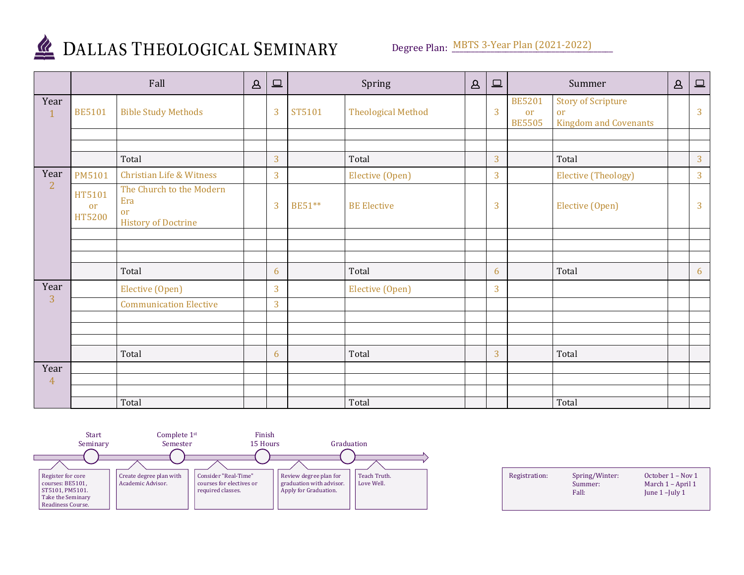

## DALLAS THEOLOGICAL SEMINARY

Degree Plan: MBTS 3-Year Plan (2021-2022)

|                      | Fall                                     |                                                                     | $\Delta$ | $\qquad \qquad \Box$ |        | Spring                    | $\Delta$ | $\qquad \qquad \Box$ |                                      | Summer                                                          | $\Delta$ | $\boxed{\square}$ |
|----------------------|------------------------------------------|---------------------------------------------------------------------|----------|----------------------|--------|---------------------------|----------|----------------------|--------------------------------------|-----------------------------------------------------------------|----------|-------------------|
| Year<br>$\mathbf{1}$ | <b>BE5101</b>                            | <b>Bible Study Methods</b>                                          |          | 3                    | ST5101 | <b>Theological Method</b> |          | 3                    | <b>BE5201</b><br>or<br><b>BE5505</b> | <b>Story of Scripture</b><br>or<br><b>Kingdom and Covenants</b> |          | 3                 |
|                      |                                          |                                                                     |          |                      |        |                           |          |                      |                                      |                                                                 |          |                   |
|                      |                                          | Total                                                               |          | 3                    |        | Total                     |          | 3                    |                                      | Total                                                           |          | 3                 |
| Year                 | PM5101                                   | <b>Christian Life &amp; Witness</b>                                 |          | 3                    |        | Elective (Open)           |          | 3                    |                                      | <b>Elective (Theology)</b>                                      |          | 3                 |
| $\overline{2}$       | HT5101<br><sub>or</sub><br><b>HT5200</b> | The Church to the Modern<br>Era<br>or<br><b>History of Doctrine</b> |          | $\overline{3}$       | BE51** | <b>BE Elective</b>        |          | 3                    |                                      | Elective (Open)                                                 |          | $\overline{3}$    |
|                      |                                          |                                                                     |          |                      |        |                           |          |                      |                                      |                                                                 |          |                   |
|                      |                                          |                                                                     |          |                      |        |                           |          |                      |                                      |                                                                 |          |                   |
|                      |                                          | Total                                                               |          | 6                    |        | Total                     |          | 6                    |                                      | Total                                                           |          | 6                 |
| Year                 |                                          | Elective (Open)                                                     |          | 3                    |        | Elective (Open)           |          | 3                    |                                      |                                                                 |          |                   |
| 3                    |                                          | <b>Communication Elective</b>                                       |          | 3                    |        |                           |          |                      |                                      |                                                                 |          |                   |
|                      |                                          |                                                                     |          |                      |        |                           |          |                      |                                      |                                                                 |          |                   |
|                      |                                          |                                                                     |          |                      |        |                           |          |                      |                                      |                                                                 |          |                   |
|                      |                                          | Total                                                               |          | 6                    |        | Total                     |          | 3                    |                                      | Total                                                           |          |                   |
| Year                 |                                          |                                                                     |          |                      |        |                           |          |                      |                                      |                                                                 |          |                   |
| $\overline{4}$       |                                          |                                                                     |          |                      |        |                           |          |                      |                                      |                                                                 |          |                   |
|                      |                                          | Total                                                               |          |                      |        | Total                     |          |                      |                                      | Total                                                           |          |                   |



| Registration: | Spring/Winter:<br>Summer:<br>Fall: | October 1 – Nov 1<br>March 1 – April 1<br>June $1$ –July $1$ |
|---------------|------------------------------------|--------------------------------------------------------------|
|               |                                    |                                                              |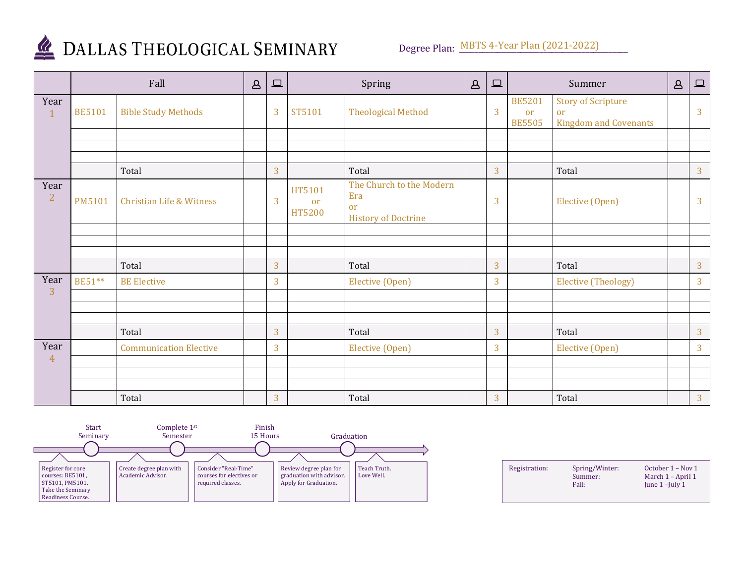

## DALLAS THEOLOGICAL SEMINARY

|                        | Fall          |                                     | $\Delta$ | 旦              |                        | Spring                                                              | $\Delta$ | $\boxed{\square}$ |                                             | Summer                                                          | $\Delta$ | $\Box$         |
|------------------------|---------------|-------------------------------------|----------|----------------|------------------------|---------------------------------------------------------------------|----------|-------------------|---------------------------------------------|-----------------------------------------------------------------|----------|----------------|
| Year<br>$\mathbf{1}$   | <b>BE5101</b> | <b>Bible Study Methods</b>          |          | 3              | ST5101                 | <b>Theological Method</b>                                           |          | 3                 | <b>BE5201</b><br><b>or</b><br><b>BE5505</b> | <b>Story of Scripture</b><br>or<br><b>Kingdom and Covenants</b> |          | 3              |
|                        |               |                                     |          |                |                        |                                                                     |          |                   |                                             |                                                                 |          |                |
|                        |               |                                     |          |                |                        |                                                                     |          |                   |                                             |                                                                 |          |                |
|                        |               | Total                               |          | 3              |                        | Total                                                               |          | 3                 |                                             | Total                                                           |          | $\overline{3}$ |
| Year<br>$\overline{2}$ | <b>PM5101</b> | <b>Christian Life &amp; Witness</b> |          | 3              | HT5101<br>or<br>HT5200 | The Church to the Modern<br>Era<br>or<br><b>History of Doctrine</b> |          | 3                 |                                             | Elective (Open)                                                 |          | $\overline{3}$ |
|                        |               |                                     |          |                |                        |                                                                     |          |                   |                                             |                                                                 |          |                |
|                        |               |                                     |          |                |                        |                                                                     |          |                   |                                             |                                                                 |          |                |
|                        |               | Total                               |          | 3              |                        | Total                                                               |          | 3                 |                                             | Total                                                           |          | $\overline{3}$ |
| Year                   | BE51**        | <b>BE</b> Elective                  |          | 3              |                        | Elective (Open)                                                     |          | 3                 |                                             | <b>Elective (Theology)</b>                                      |          | 3              |
| 3                      |               |                                     |          |                |                        |                                                                     |          |                   |                                             |                                                                 |          |                |
|                        |               |                                     |          |                |                        |                                                                     |          |                   |                                             |                                                                 |          |                |
|                        |               | Total                               |          | 3              |                        | Total                                                               |          | 3                 |                                             | Total                                                           |          | 3              |
| Year<br>4              |               | <b>Communication Elective</b>       |          | 3              |                        | Elective (Open)                                                     |          | 3                 |                                             | Elective (Open)                                                 |          | $\overline{3}$ |
|                        |               |                                     |          |                |                        |                                                                     |          |                   |                                             |                                                                 |          |                |
|                        |               | Total                               |          | $\overline{3}$ |                        | Total                                                               |          | 3                 |                                             | Total                                                           |          | $\overline{3}$ |



| Registration: | Spring/Winter:<br>Summer:<br>Fall: | October 1 – Nov 1<br>March 1 – April 1<br>June $1$ –July $1$ |
|---------------|------------------------------------|--------------------------------------------------------------|
|               |                                    |                                                              |